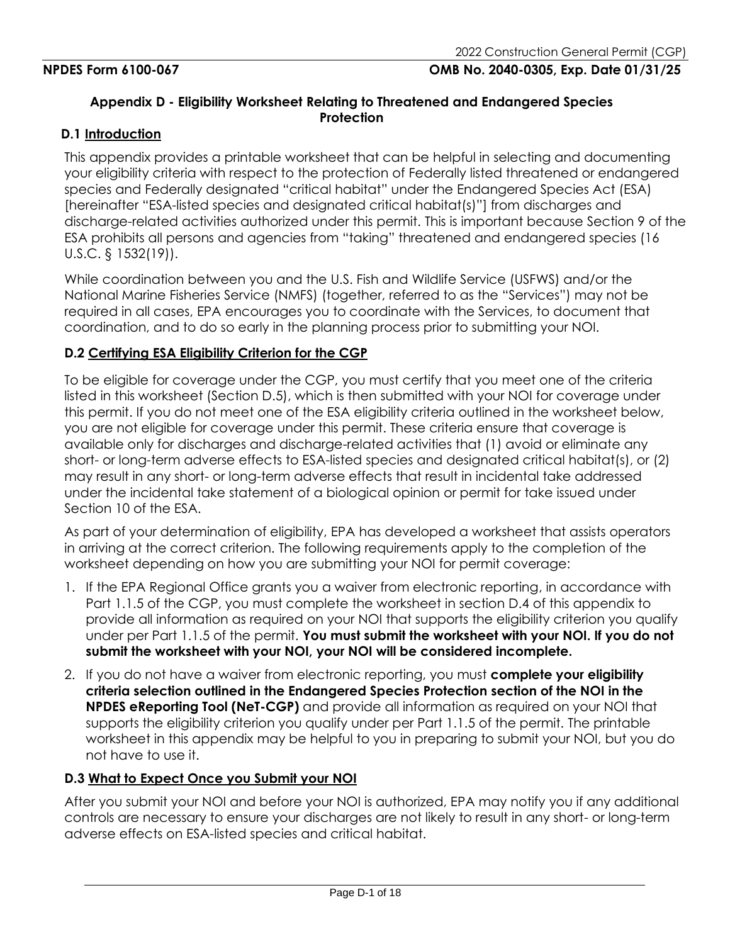## **Appendix D - Eligibility Worksheet Relating to Threatened and Endangered Species Protection**

### **D.1 Introduction**

This appendix provides a printable worksheet that can be helpful in selecting and documenting your eligibility criteria with respect to the protection of Federally listed threatened or endangered species and Federally designated "critical habitat" under the Endangered Species Act (ESA) [hereinafter "ESA-listed species and designated critical habitat(s)"] from discharges and discharge-related activities authorized under this permit. This is important because Section 9 of the ESA prohibits all persons and agencies from "taking" threatened and endangered species (16 U.S.C. § 1532(19)).

While coordination between you and the U.S. Fish and Wildlife Service (USFWS) and/or the National Marine Fisheries Service (NMFS) (together, referred to as the "Services") may not be required in all cases, EPA encourages you to coordinate with the Services, to document that coordination, and to do so early in the planning process prior to submitting your NOI.

### **D.2 Certifying ESA Eligibility Criterion for the CGP**

To be eligible for coverage under the CGP, you must certify that you meet one of the criteria listed in this worksheet (Section D.5), which is then submitted with your NOI for coverage under this permit. If you do not meet one of the ESA eligibility criteria outlined in the worksheet below, you are not eligible for coverage under this permit. These criteria ensure that coverage is available only for discharges and discharge-related activities that (1) avoid or eliminate any short- or long-term adverse effects to ESA-listed species and designated critical habitat(s), or (2) may result in any short- or long-term adverse effects that result in incidental take addressed under the incidental take statement of a biological opinion or permit for take issued under Section 10 of the ESA.

As part of your determination of eligibility, EPA has developed a worksheet that assists operators in arriving at the correct criterion. The following requirements apply to the completion of the worksheet depending on how you are submitting your NOI for permit coverage:

- 1. If the EPA Regional Office grants you a waiver from electronic reporting, in accordance with Part 1.1.5 of the CGP, you must complete the worksheet in section D.4 of this appendix to provide all information as required on your NOI that supports the eligibility criterion you qualify under per Part 1.1.5 of the permit. **You must submit the worksheet with your NOI. If you do not submit the worksheet with your NOI, your NOI will be considered incomplete.**
- 2. If you do not have a waiver from electronic reporting, you must **complete your eligibility criteria selection outlined in the Endangered Species Protection section of the NOI in the NPDES eReporting Tool (NeT-CGP)** and provide all information as required on your NOI that supports the eligibility criterion you qualify under per Part 1.1.5 of the permit. The printable worksheet in this appendix may be helpful to you in preparing to submit your NOI, but you do not have to use it.

### **D.3 What to Expect Once you Submit your NOI**

After you submit your NOI and before your NOI is authorized, EPA may notify you if any additional controls are necessary to ensure your discharges are not likely to result in any short- or long-term adverse effects on ESA-listed species and critical habitat.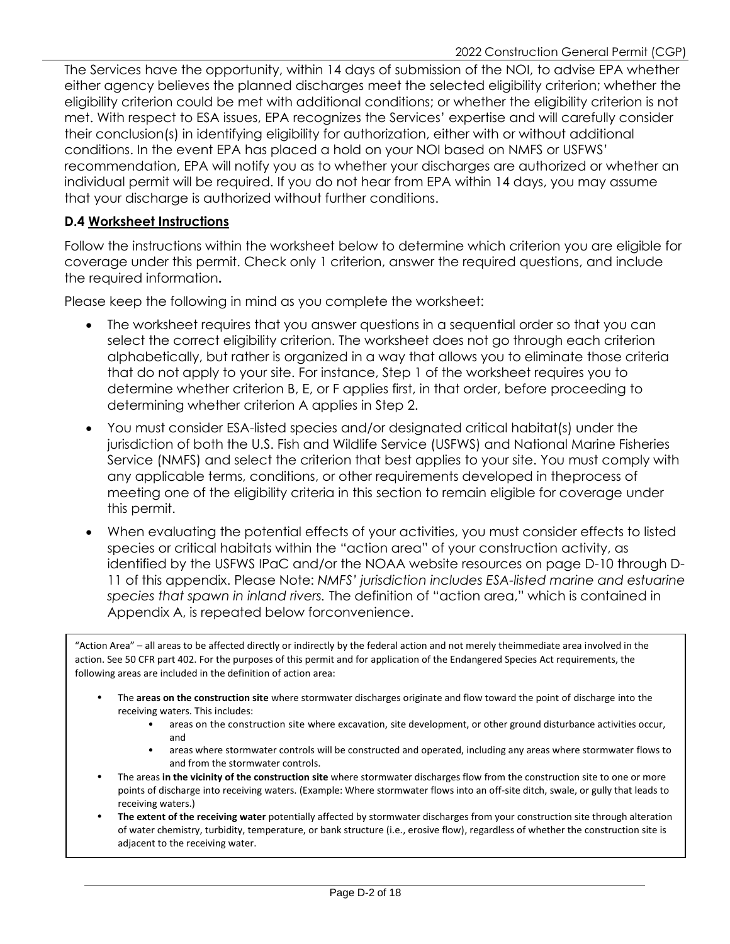The Services have the opportunity, within 14 days of submission of the NOI, to advise EPA whether either agency believes the planned discharges meet the selected eligibility criterion; whether the eligibility criterion could be met with additional conditions; or whether the eligibility criterion is not met. With respect to ESA issues, EPA recognizes the Services' expertise and will carefully consider their conclusion(s) in identifying eligibility for authorization, either with or without additional conditions. In the event EPA has placed a hold on your NOI based on NMFS or USFWS' recommendation, EPA will notify you as to whether your discharges are authorized or whether an individual permit will be required. If you do not hear from EPA within 14 days, you may assume that your discharge is authorized without further conditions.

### **D.4 Worksheet Instructions**

Follow the instructions within the worksheet below to determine which criterion you are eligible for coverage under this permit. Check only 1 criterion, answer the required questions, and include the required information**.** 

Please keep the following in mind as you complete the worksheet:

- The worksheet requires that you answer questions in a sequential order so that you can select the correct eligibility criterion. The worksheet does not go through each criterion alphabetically, but rather is organized in a way that allows you to eliminate those criteria that do not apply to your site. For instance, Step 1 of the worksheet requires you to determine whether criterion B, E, or F applies first, in that order, before proceeding to determining whether criterion A applies in Step 2.
- You must consider ESA-listed species and/or designated critical habitat(s) under the jurisdiction of both the U.S. Fish and Wildlife Service (USFWS) and National Marine Fisheries Service (NMFS) and select the criterion that best applies to your site. You must comply with any applicable terms, conditions, or other requirements developed in theprocess of meeting one of the eligibility criteria in this section to remain eligible for coverage under this permit.
- When evaluating the potential effects of your activities, you must consider effects to listed species or critical habitats within the "action area" of your construction activity, as identified by the USFWS IPaC and/or the NOAA website resources on page D-10 through D-11 of this appendix. Please Note: *NMFS' jurisdiction includes ESA-listed marine and estuarine species that spawn in inland rivers.* The definition of "action area," which is contained in Appendix A, is repeated below forconvenience.

"Action Area" – all areas to be affected directly or indirectly by the federal action and not merely theimmediate area involved in the action. See 50 CFR part 402. For the purposes of this permit and for application of the Endangered Species Act requirements, the following areas are included in the definition of action area:

- The **areas on the construction site** where stormwater discharges originate and flow toward the point of discharge into the receiving waters. This includes:
	- areas on the construction site where excavation, site development, or other ground disturbance activities occur, and
	- areas where stormwater controls will be constructed and operated, including any areas where stormwater flows to and from the stormwater controls.
- The areas **in the vicinity of the construction site** where stormwater discharges flow from the construction site to one or more points of discharge into receiving waters. (Example: Where stormwater flows into an off-site ditch, swale, or gully that leads to receiving waters.)
- **The extent of the receiving water** potentially affected by stormwater discharges from your construction site through alteration of water chemistry, turbidity, temperature, or bank structure (i.e., erosive flow), regardless of whether the construction site is adjacent to the receiving water.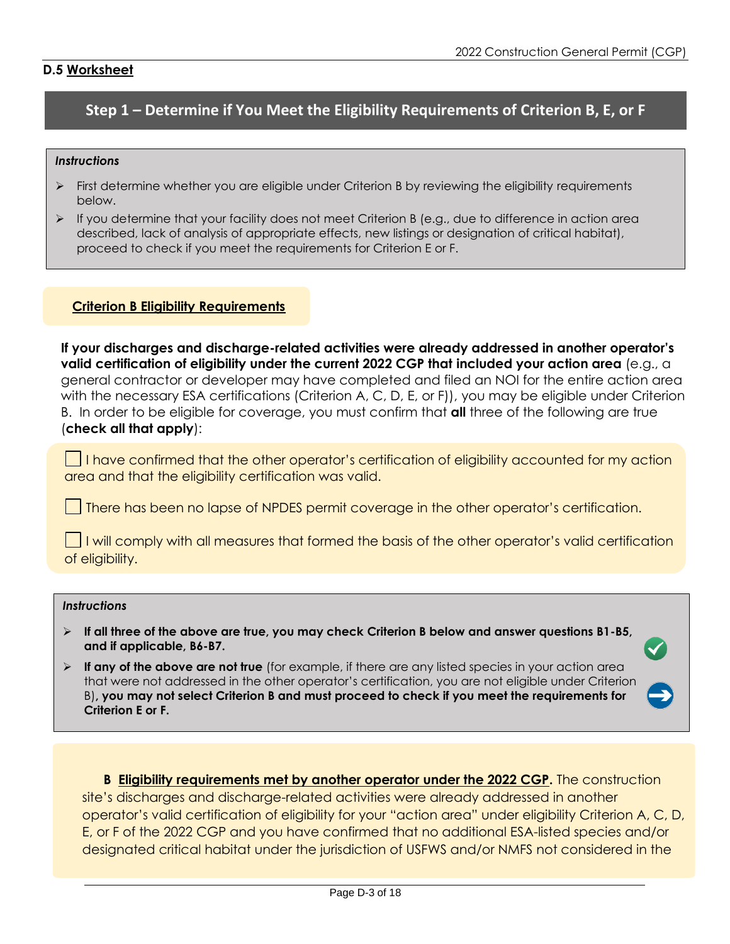#### **D.5 Worksheet**

# **Step 1 – Determine if You Meet the Eligibility Requirements of Criterion B, E, or F**

#### *Instructions*

- $\triangleright$  First determine whether you are eligible under Criterion B by reviewing the eligibility requirements below.
- $\triangleright$  If you determine that your facility does not meet Criterion B (e.g., due to difference in action area described, lack of analysis of appropriate effects, new listings or designation of critical habitat), proceed to check if you meet the requirements for Criterion E or F.

#### **Criterion B Eligibility Requirements**

**If your discharges and discharge-related activities were already addressed in another operator's valid certification of eligibility under the current 2022 CGP that included your action area** (e.g., a general contractor or developer may have completed and filed an NOI for the entire action area with the necessary ESA certifications (Criterion A, C, D, E, or F)), you may be eligible under Criterion B. In order to be eligible for coverage, you must confirm that **all** three of the following are true (**check all that apply**):

I have confirmed that the other operator's certification of eligibility accounted for my action area and that the eligibility certification was valid.

There has been no lapse of NPDES permit coverage in the other operator's certification.

 $\Box$  I will comply with all measures that formed the basis of the other operator's valid certification of eligibility.

#### *Instructions*

- ➢ **If all three of the above are true, you may check Criterion B below and answer questions B1-B5, and if applicable, B6-B7.**
- ➢ **If any of the above are not true** (for example, if there are any listed species in your action area that were not addressed in the other operator's certification, you are not eligible under Criterion B)**, you may not select Criterion B and must proceed to check if you meet the requirements for Criterion E or F.**

**B Eligibility requirements met by another operator under the 2022 CGP.** The construction site's discharges and discharge-related activities were already addressed in another operator's valid certification of eligibility for your "action area" under eligibility Criterion A, C, D, E, or F of the 2022 CGP and you have confirmed that no additional ESA-listed species and/or designated critical habitat under the jurisdiction of USFWS and/or NMFS not considered in the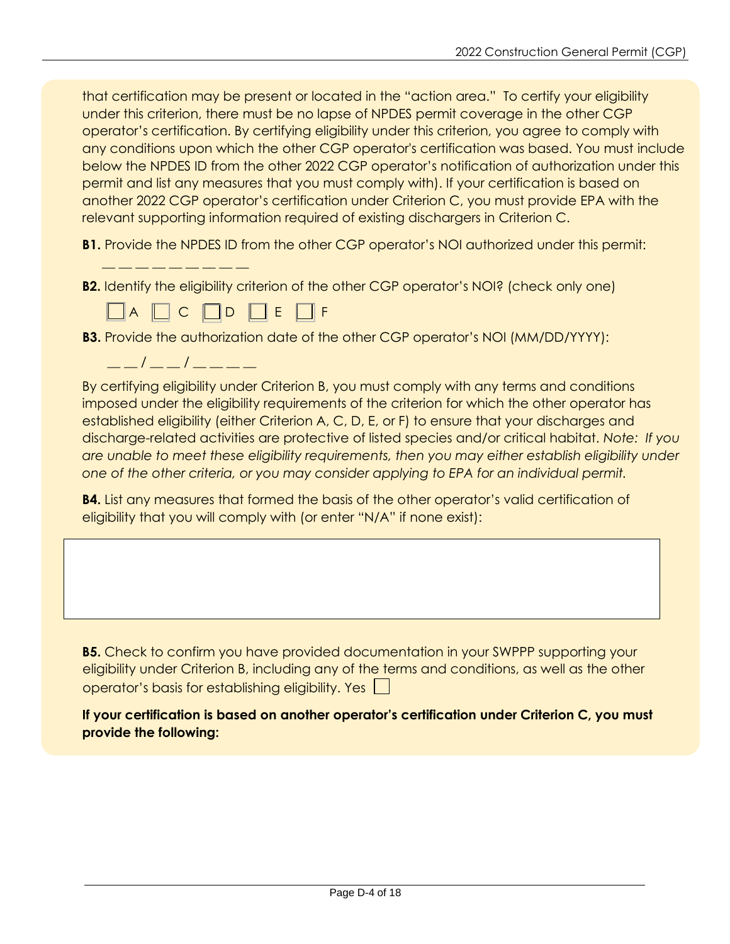that certification may be present or located in the "action area." To certify your eligibility under this criterion, there must be no lapse of NPDES permit coverage in the other CGP operator's certification. By certifying eligibility under this criterion, you agree to comply with any conditions upon which the other CGP operator's certification was based. You must include below the NPDES ID from the other 2022 CGP operator's notification of authorization under this permit and list any measures that you must comply with). If your certification is based on another 2022 CGP operator's certification under Criterion C, you must provide EPA with the relevant supporting information required of existing dischargers in Criterion C.

**B1.** Provide the NPDES ID from the other CGP operator's NOI authorized under this permit:

**B2.** Identify the eligibility criterion of the other CGP operator's NOI? (check only one)

 $\Box A \Box C \Box D \Box E \Box F$ 

- **B3.** Provide the authorization date of the other CGP operator's NOI (MM/DD/YYYY):
	- $\frac{\frac{1}{2}-\frac{1}{2}}{\frac{1}{2}-\frac{1}{2}} = \frac{1}{2}$

 $\bot$   $\bot$   $\bot$   $\bot$   $\bot$   $\bot$   $\bot$   $\bot$ 

By certifying eligibility under Criterion B, you must comply with any terms and conditions imposed under the eligibility requirements of the criterion for which the other operator has established eligibility (either Criterion A, C, D, E, or F) to ensure that your discharges and discharge-related activities are protective of listed species and/or critical habitat. *Note: If you are unable to meet these eligibility requirements, then you may either establish eligibility under one of the other criteria, or you may consider applying to EPA for an individual permit.*

**B4.** List any measures that formed the basis of the other operator's valid certification of eligibility that you will comply with (or enter "N/A" if none exist):

**B5.** Check to confirm you have provided documentation in your SWPPP supporting your eligibility under Criterion B, including any of the terms and conditions, as well as the other operator's basis for establishing eligibility. Yes

**If your certification is based on another operator's certification under Criterion C, you must provide the following:**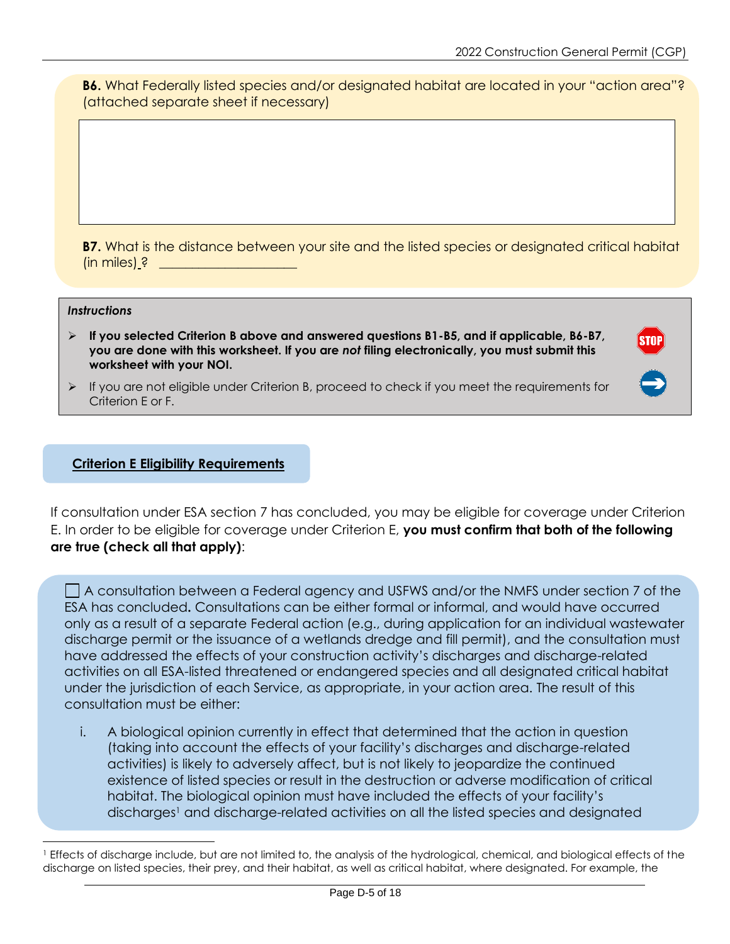**B6.** What Federally listed species and/or designated habitat are located in your "action area"? (attached separate sheet if necessary)

**B7.** What is the distance between your site and the listed species or designated critical habitat (in miles)  $?$ 

#### *Instructions*

- ➢ **If you selected Criterion B above and answered questions B1-B5, and if applicable, B6-B7, you are done with this worksheet. If you are** *not* **filing electronically, you must submit this worksheet with your NOI.**
- $\triangleright$  If you are not eligible under Criterion B, proceed to check if you meet the requirements for Criterion E or F.

#### **Criterion E Eligibility Requirements**

If consultation under ESA section 7 has concluded, you may be eligible for coverage under Criterion E. In order to be eligible for coverage under Criterion E, **you must confirm that both of the following are true (check all that apply)**:

 $\Box$  A consultation between a Federal agency and USFWS and/or the NMFS under section 7 of the ESA has concluded**.** Consultations can be either formal or informal, and would have occurred only as a result of a separate Federal action (e.g., during application for an individual wastewater discharge permit or the issuance of a wetlands dredge and fill permit), and the consultation must have addressed the effects of your construction activity's discharges and discharge-related activities on all ESA-listed threatened or endangered species and all designated critical habitat under the jurisdiction of each Service, as appropriate, in your action area. The result of this consultation must be either:

i. A biological opinion currently in effect that determined that the action in question (taking into account the effects of your facility's discharges and discharge-related activities) is likely to adversely affect, but is not likely to jeopardize the continued existence of listed species or result in the destruction or adverse modification of critical habitat. The biological opinion must have included the effects of your facility's discharges<sup>1</sup> and discharge-related activities on all the listed species and designated

<sup>&</sup>lt;sup>1</sup> Effects of discharge include, but are not limited to, the analysis of the hydrological, chemical, and biological effects of the discharge on listed species, their prey, and their habitat, as well as critical habitat, where designated. For example, the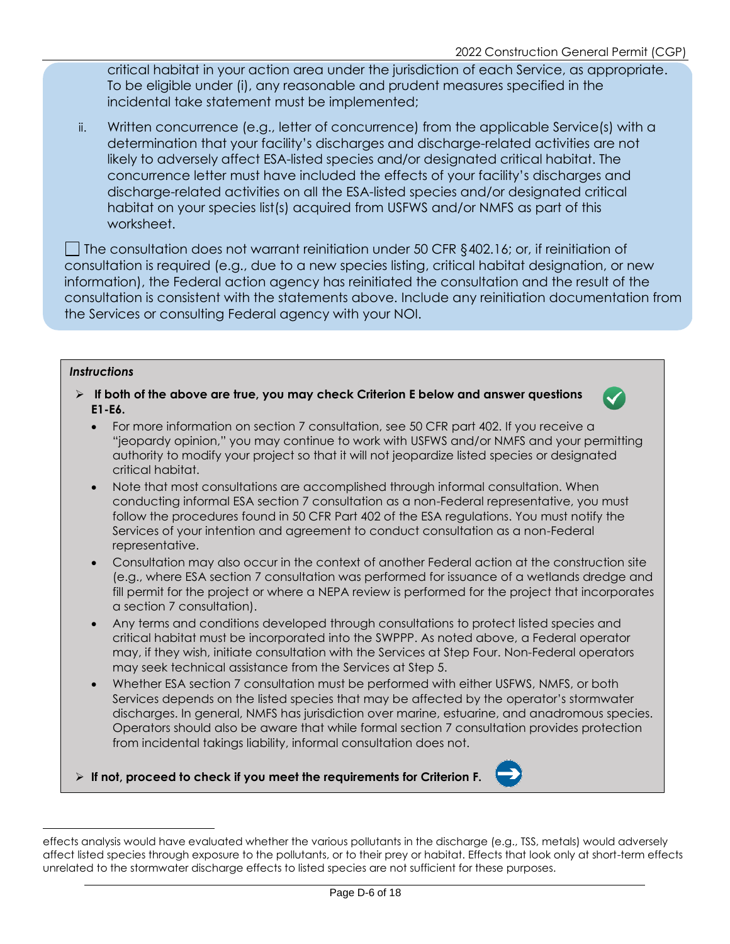critical habitat in your action area under the jurisdiction of each Service, as appropriate. To be eligible under (i), any reasonable and prudent measures specified in the incidental take statement must be implemented;

ii. Written concurrence (e.g., letter of concurrence) from the applicable Service(s) with a determination that your facility's discharges and discharge-related activities are not likely to adversely affect ESA-listed species and/or designated critical habitat. The concurrence letter must have included the effects of your facility's discharges and discharge-related activities on all the ESA-listed species and/or designated critical habitat on your species list(s) acquired from USFWS and/or NMFS as part of this worksheet.

The consultation does not warrant reinitiation under 50 CFR  $\S$ 402.16; or, if reinitiation of consultation is required (e.g., due to a new species listing, critical habitat designation, or new information), the Federal action agency has reinitiated the consultation and the result of the consultation is consistent with the statements above. Include any reinitiation documentation from the Services or consulting Federal agency with your NOI.

#### *Instructions*

➢ **If both of the above are true, you may check Criterion E below and answer questions E1-E6.**



- For more information on section 7 consultation, see 50 CFR part 402. If you receive a "jeopardy opinion," you may continue to work with USFWS and/or NMFS and your permitting authority to modify your project so that it will not jeopardize listed species or designated critical habitat.
- Note that most consultations are accomplished through informal consultation. When conducting informal ESA section 7 consultation as a non-Federal representative, you must follow the procedures found in 50 CFR Part 402 of the ESA regulations. You must notify the Services of your intention and agreement to conduct consultation as a non-Federal representative.
- Consultation may also occur in the context of another Federal action at the construction site (e.g., where ESA section 7 consultation was performed for issuance of a wetlands dredge and fill permit for the project or where a NEPA review is performed for the project that incorporates a section 7 consultation).
- Any terms and conditions developed through consultations to protect listed species and critical habitat must be incorporated into the SWPPP. As noted above, a Federal operator may, if they wish, initiate consultation with the Services at Step Four. Non-Federal operators may seek technical assistance from the Services at Step 5.
- Whether ESA section 7 consultation must be performed with either USFWS, NMFS, or both Services depends on the listed species that may be affected by the operator's stormwater discharges. In general, NMFS has jurisdiction over marine, estuarine, and anadromous species. Operators should also be aware that while formal section 7 consultation provides protection from incidental takings liability, informal consultation does not.

➢ **If not, proceed to check if you meet the requirements for Criterion F.**



effects analysis would have evaluated whether the various pollutants in the discharge (e.g., TSS, metals) would adversely affect listed species through exposure to the pollutants, or to their prey or habitat. Effects that look only at short-term effects unrelated to the stormwater discharge effects to listed species are not sufficient for these purposes.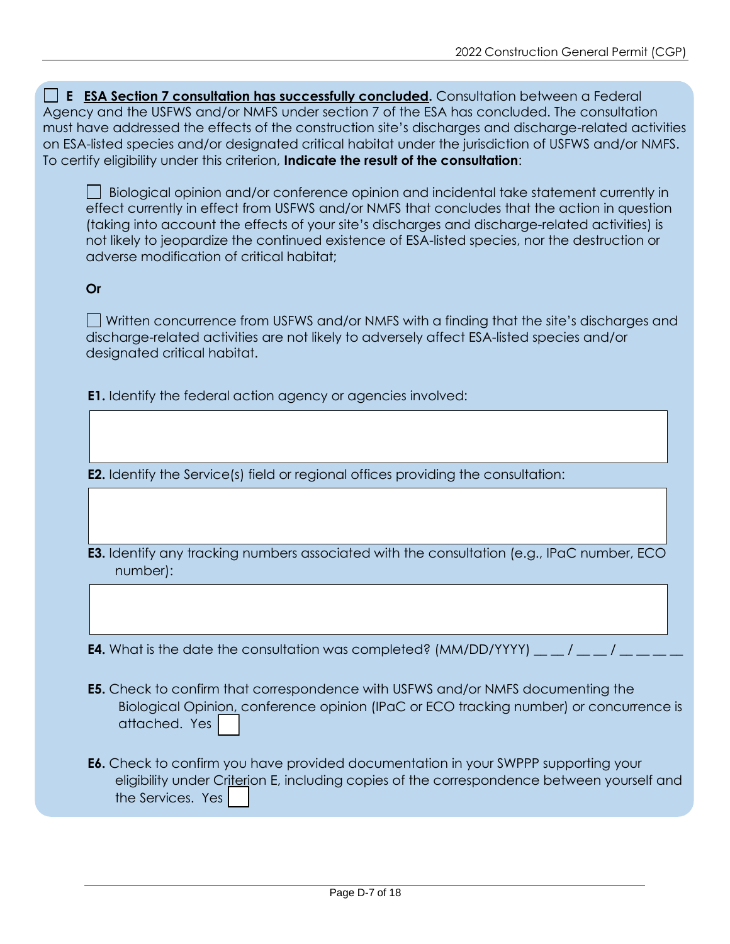**E ESA Section 7 consultation has successfully concluded.** Consultation between a Federal Agency and the USFWS and/or NMFS under section 7 of the ESA has concluded. The consultation must have addressed the effects of the construction site's discharges and discharge-related activities on ESA-listed species and/or designated critical habitat under the jurisdiction of USFWS and/or NMFS. To certify eligibility under this criterion, **Indicate the result of the consultation**:

Biological opinion and/or conference opinion and incidental take statement currently in effect currently in effect from USFWS and/or NMFS that concludes that the action in question (taking into account the effects of your site's discharges and discharge-related activities) is not likely to jeopardize the continued existence of ESA-listed species, nor the destruction or adverse modification of critical habitat;

### **Or**

 $\Box$  Written concurrence from USFWS and/or NMFS with a finding that the site's discharges and discharge-related activities are not likely to adversely affect ESA-listed species and/or designated critical habitat.

**E1.** Identify the federal action agency or agencies involved:

**E2.** Identify the Service(s) field or regional offices providing the consultation:

**E3.** Identify any tracking numbers associated with the consultation (e.g., IPaC number, ECO number):

**E4.** What is the date the consultation was completed?  $(MM/DD/YYYY)$  \_\_ / \_

- **E5.** Check to confirm that correspondence with USFWS and/or NMFS documenting the Biological Opinion, conference opinion (IPaC or ECO tracking number) or concurrence is attached. Yes
- **E6.** Check to confirm you have provided documentation in your SWPPP supporting your eligibility under Criterion E, including copies of the correspondence between yourself and the Services. Yes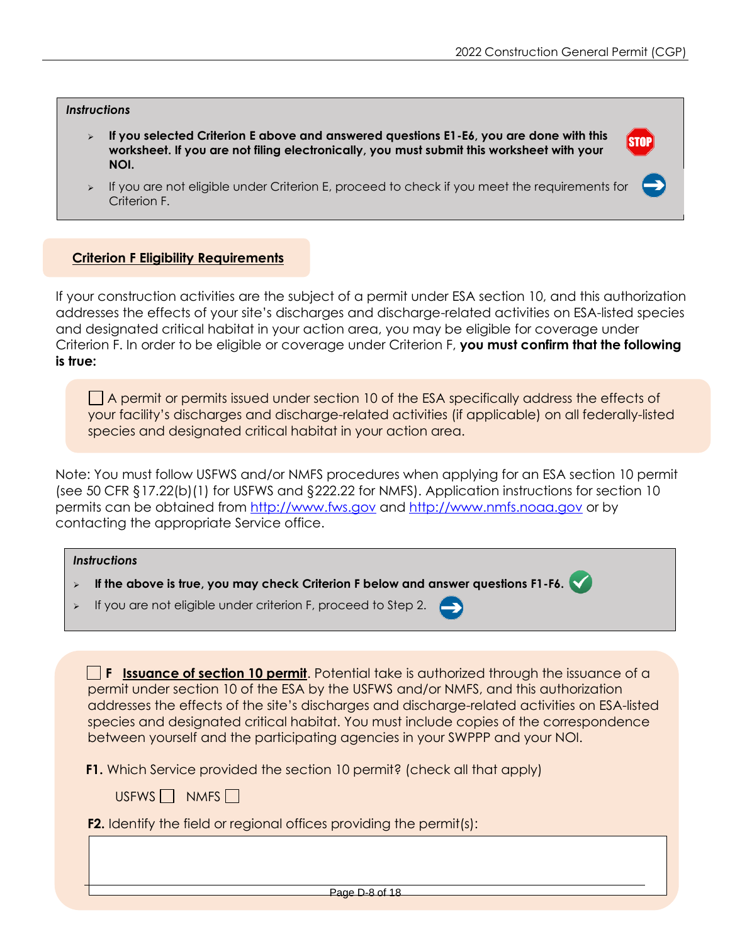**STOP** 

#### *Instructions*

- ➢ **If you selected Criterion E above and answered questions E1-E6, you are done with this worksheet. If you are not filing electronically, you must submit this worksheet with your NOI.**
- ➢ If you are not eligible under Criterion E, proceed to check if you meet the requirements for Criterion F.

### **Criterion F Eligibility Requirements**

If your construction activities are the subject of a permit under ESA section 10, and this authorization addresses the effects of your site's discharges and discharge-related activities on ESA-listed species and designated critical habitat in your action area, you may be eligible for coverage under Criterion F. In order to be eligible or coverage under Criterion F, **you must confirm that the following is true:**

 $\Box$  A permit or permits issued under section 10 of the ESA specifically address the effects of your facility's discharges and discharge-related activities (if applicable) on all federally-listed species and designated critical habitat in your action area.

Note: You must follow USFWS and/or NMFS procedures when applying for an ESA section 10 permit (see 50 CFR §17.22(b)(1) for USFWS and §222.22 for NMFS). Application instructions for section 10 permits can be obtained from http://www.fws.gov and http://www.nmfs.noaa.gov or by contacting the appropriate Service office.

|                       | <b>Instructions</b><br>If the above is true, you may check Criterion F below and answer questions F1-F6.<br>$\blacktriangleright$                                                                                                                                                             |  |
|-----------------------|-----------------------------------------------------------------------------------------------------------------------------------------------------------------------------------------------------------------------------------------------------------------------------------------------|--|
|                       |                                                                                                                                                                                                                                                                                               |  |
| $\blacktriangleright$ | If you are not eligible under criterion F, proceed to Step 2. $\leftarrow$                                                                                                                                                                                                                    |  |
|                       |                                                                                                                                                                                                                                                                                               |  |
|                       | $\Box$ <b>F</b> Issuance of section 10 permit. Potential take is authorized through the issuance of a<br>permit under section 10 of the ESA by the USFWS and/or NMFS, and this authorization<br>addresses the effects of the site's discharges and discharge related activities on ESA listed |  |

is of the site's discharges and discharge-related activities  $\,$ species and designated critical habitat. You must include copies of the correspondence between yourself and the participating agencies in your SWPPP and your NOI.

**F1.** Which Service provided the section 10 permit? (check all that apply)

USFWS  $\Box$  NMFS  $\Box$ 

**F2.** Identify the field or regional offices providing the permit(s):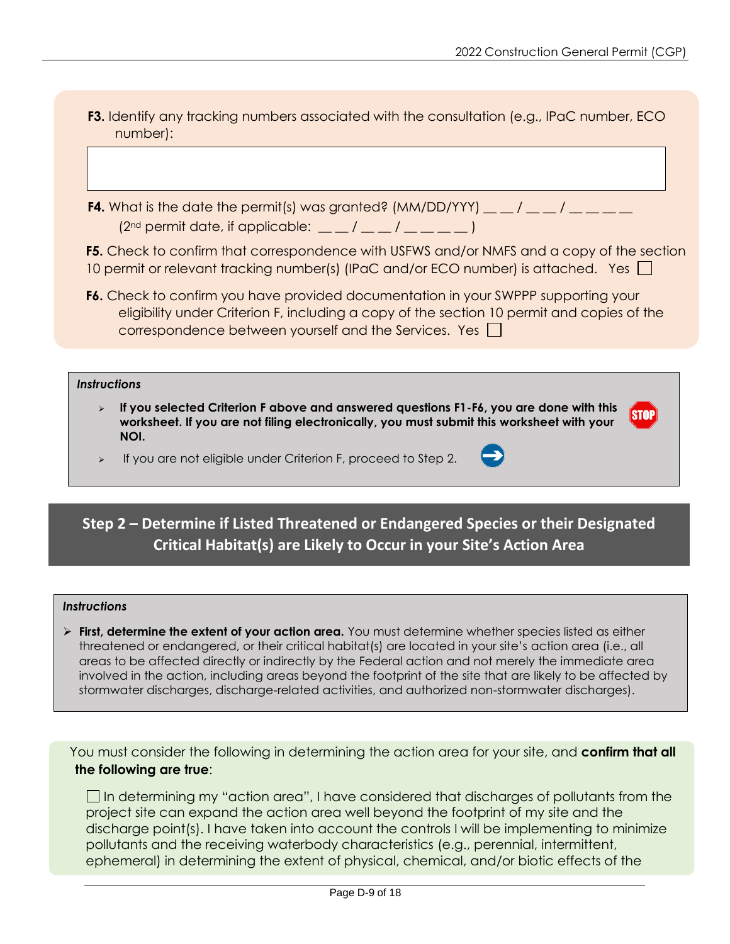**F3.** Identify any tracking numbers associated with the consultation (e.g., IPaC number, ECO number):

**F4.** What is the date the permit(s) was granted?  $(MM/DD/YYY)$  \_\_  $/$  \_ \_  $/$  \_ \_ \_  $(2<sup>nd</sup>$  permit date, if applicable:  $\underline{\hspace{1cm}}$   $\hspace{1cm}$   $\hspace{1cm}$   $\hspace{1cm}$   $\hspace{1cm}$   $\hspace{1cm}$   $\hspace{1cm}$   $\hspace{1cm}$   $\hspace{1cm}$   $\hspace{1cm}$ 

**F5.** Check to confirm that correspondence with USFWS and/or NMFS and a copy of the section 10 permit or relevant tracking number(s) (IPaC and/or ECO number) is attached. Yes  $\Box$ 

**F6.** Check to confirm you have provided documentation in your SWPPP supporting your eligibility under Criterion F, including a copy of the section 10 permit and copies of the correspondence between yourself and the Services. Yes  $\Box$ 

#### *Instructions*

- ➢ **If you selected Criterion F above and answered questions F1-F6, you are done with this STOP worksheet. If you are not filing electronically, you must submit this worksheet with your NOI.**
- ➢ If you are not eligible under Criterion F, proceed to Step 2.

# **Step 2 – Determine if Listed Threatened or Endangered Species or their Designated Critical Habitat(s) are Likely to Occur in your Site's Action Area**

#### *Instructions*

➢ **First, determine the extent of your action area.** You must determine whether species listed as either threatened or endangered, or their critical habitat(s) are located in your site's action area (i.e., all areas to be affected directly or indirectly by the Federal action and not merely the immediate area involved in the action, including areas beyond the footprint of the site that are likely to be affected by stormwater discharges, discharge-related activities, and authorized non-stormwater discharges).

You must consider the following in determining the action area for your site, and **confirm that all the following are true**:

 $\Box$  In determining my "action area", I have considered that discharges of pollutants from the project site can expand the action area well beyond the footprint of my site and the discharge point(s). I have taken into account the controls I will be implementing to minimize pollutants and the receiving waterbody characteristics (e.g., perennial, intermittent, ephemeral) in determining the extent of physical, chemical, and/or biotic effects of the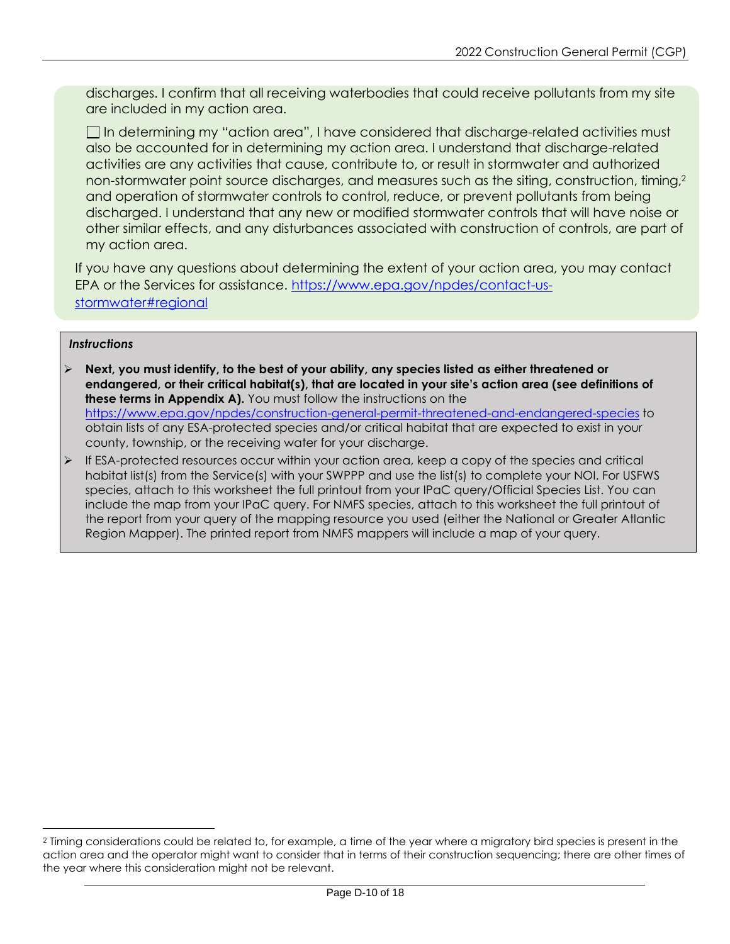discharges. I confirm that all receiving waterbodies that could receive pollutants from my site are included in my action area.

In determining my "action area", I have considered that discharge-related activities must also be accounted for in determining my action area. I understand that discharge-related activities are any activities that cause, contribute to, or result in stormwater and authorized non-stormwater point source discharges, and measures such as the siting, construction, timing,<sup>2</sup> and operation of stormwater controls to control, reduce, or prevent pollutants from being discharged. I understand that any new or modified stormwater controls that will have noise or other similar effects, and any disturbances associated with construction of controls, are part of my action area.

If you have any questions about determining the extent of your action area, you may contact EPA or the Services for assistance. https://www.epa.gov/npdes/contact-usstormwater#regional

#### *Instructions*

- ➢ **Next, you must identify, to the best of your ability, any species listed as either threatened or endangered, or their critical habitat(s), that are located in your site's action area (see definitions of these terms in Appendix A).** You must follow the instructions on the https://www.epa.gov/npdes/construction-general-permit-threatened-and-endangered-species to obtain lists of any ESA-protected species and/or critical habitat that are expected to exist in your county, township, or the receiving water for your discharge.
- $\triangleright$  If ESA-protected resources occur within your action area, keep a copy of the species and critical habitat list(s) from the Service(s) with your SWPPP and use the list(s) to complete your NOI. For USFWS species, attach to this worksheet the full printout from your IPaC query/Official Species List. You can include the map from your IPaC query. For NMFS species, attach to this worksheet the full printout of the report from your query of the mapping resource you used (either the National or Greater Atlantic Region Mapper). The printed report from NMFS mappers will include a map of your query.

<sup>2</sup> Timing considerations could be related to, for example, a time of the year where a migratory bird species is present in the action area and the operator might want to consider that in terms of their construction sequencing; there are other times of the year where this consideration might not be relevant.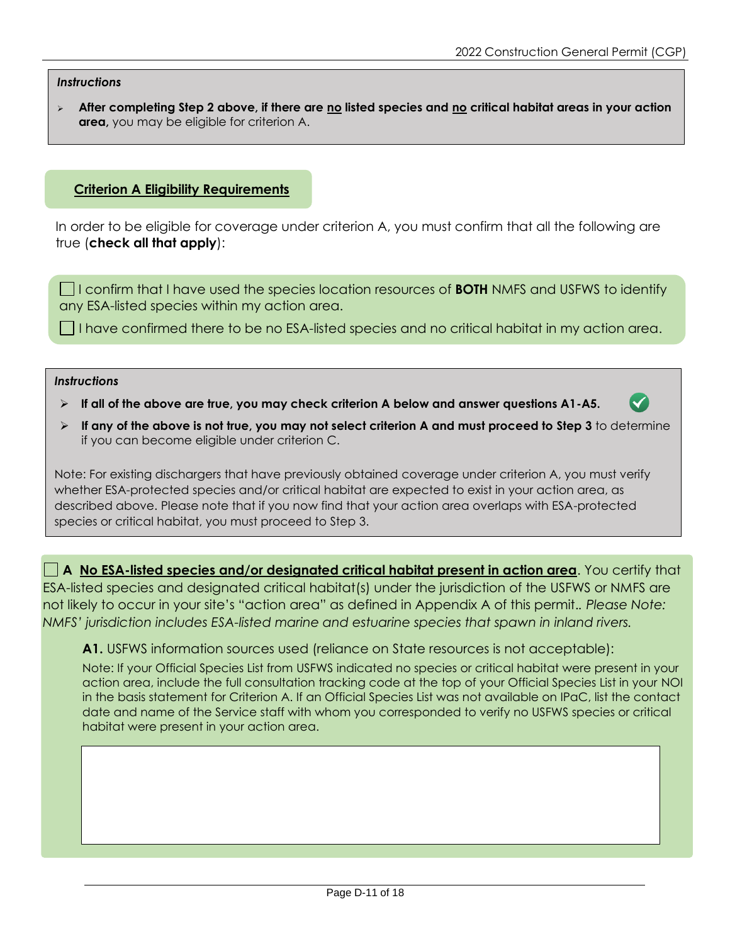#### *Instructions*

➢ **After completing Step 2 above, if there are no listed species and no critical habitat areas in your action area,** you may be eligible for criterion A.

#### **Criterion A Eligibility Requirements**

In order to be eligible for coverage under criterion A, you must confirm that all the following are true (**check all that apply**):

I confirm that I have used the species location resources of **BOTH** NMFS and USFWS to identify any ESA-listed species within my action area.

 $\Box$  I have confirmed there to be no ESA-listed species and no critical habitat in my action area.

#### *Instructions*

- ➢ **If all of the above are true, you may check criterion A below and answer questions A1-A5.**
- ➢ **If any of the above is not true, you may not select criterion A and must proceed to Step 3** to determine if you can become eligible under criterion C.

Note: For existing dischargers that have previously obtained coverage under criterion A, you must verify whether ESA-protected species and/or critical habitat are expected to exist in your action area, as described above. Please note that if you now find that your action area overlaps with ESA-protected species or critical habitat, you must proceed to Step 3.

**A No ESA-listed species and/or designated critical habitat present in action area**. You certify that ESA-listed species and designated critical habitat(s) under the jurisdiction of the USFWS or NMFS are not likely to occur in your site's "action area" as defined in Appendix A of this permit.*. Please Note: NMFS' jurisdiction includes ESA-listed marine and estuarine species that spawn in inland rivers.*

#### **A1.** USFWS information sources used (reliance on State resources is not acceptable):

Note: If your Official Species List from USFWS indicated no species or critical habitat were present in your action area, include the full consultation tracking code at the top of your Official Species List in your NOI in the basis statement for Criterion A. If an Official Species List was not available on IPaC, list the contact date and name of the Service staff with whom you corresponded to verify no USFWS species or critical habitat were present in your action area.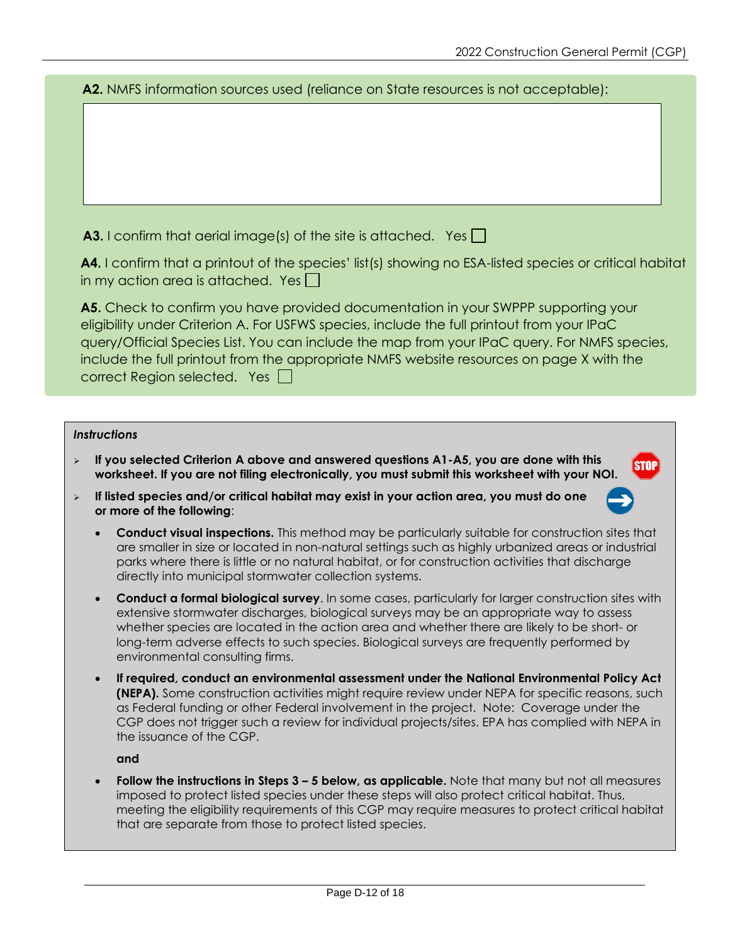**STOP** 

**A2.** NMFS information sources used (reliance on State resources is not acceptable):

**A3.** I confirm that aerial image(s) of the site is attached. Yes  $\Box$ 

**A4.** I confirm that a printout of the species' list(s) showing no ESA-listed species or critical habitat in my action area is attached. Yes

**A5.** Check to confirm you have provided documentation in your SWPPP supporting your eligibility under Criterion A. For USFWS species, include the full printout from your IPaC query/Official Species List. You can include the map from your IPaC query. For NMFS species, include the full printout from the appropriate NMFS website resources on page X with the correct Region selected. Yes  $\Box$ 

#### *Instructions*

- ➢ **If you selected Criterion A above and answered questions A1-A5, you are done with this worksheet. If you are not filing electronically, you must submit this worksheet with your NOI.**
- ➢ **If listed species and/or critical habitat may exist in your action area, you must do one or more of the following**:
	- **Conduct visual inspections.** This method may be particularly suitable for construction sites that are smaller in size or located in non-natural settings such as highly urbanized areas or industrial parks where there is little or no natural habitat, or for construction activities that discharge directly into municipal stormwater collection systems.
	- **Conduct a formal biological survey**. In some cases, particularly for larger construction sites with extensive stormwater discharges, biological surveys may be an appropriate way to assess whether species are located in the action area and whether there are likely to be short- or long-term adverse effects to such species. Biological surveys are frequently performed by environmental consulting firms.
	- **If required, conduct an environmental assessment under the National Environmental Policy Act (NEPA).** Some construction activities might require review under NEPA for specific reasons, such as Federal funding or other Federal involvement in the project. Note: Coverage under the CGP does not trigger such a review for individual projects/sites. EPA has complied with NEPA in the issuance of the CGP.

**and**

• **Follow the instructions in Steps 3 – 5 below, as applicable.** Note that many but not all measures imposed to protect listed species under these steps will also protect critical habitat. Thus, meeting the eligibility requirements of this CGP may require measures to protect critical habitat that are separate from those to protect listed species.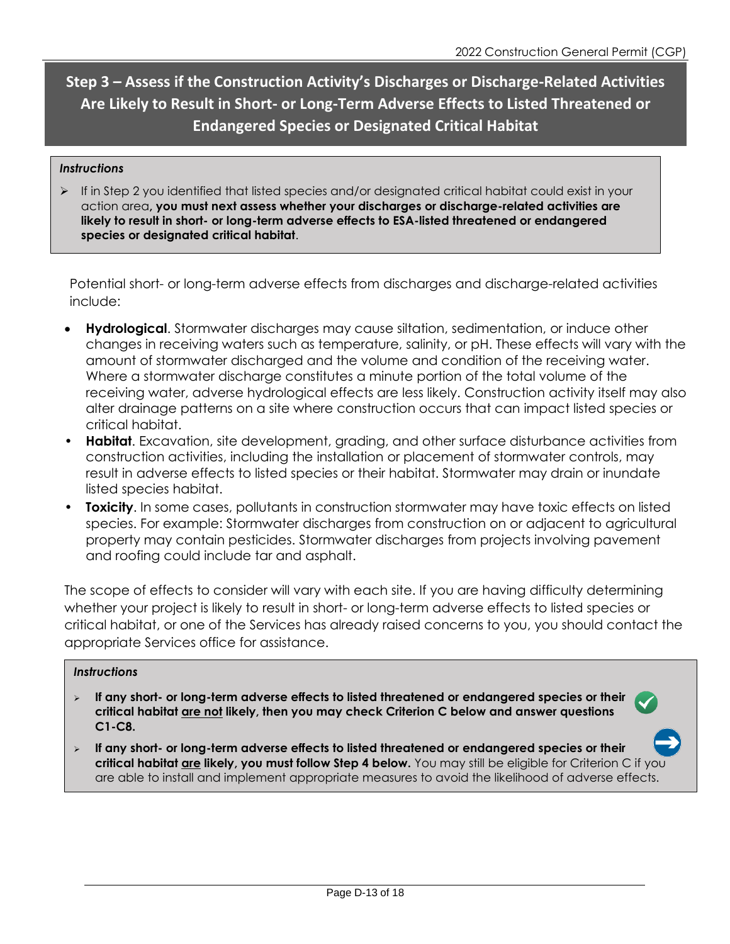**Step 3 – Assess if the Construction Activity's Discharges or Discharge-Related Activities Are Likely to Result in Short- or Long-Term Adverse Effects to Listed Threatened or Endangered Species or Designated Critical Habitat**

#### *Instructions*

 $\triangleright$  If in Step 2 you identified that listed species and/or designated critical habitat could exist in your action area**, you must next assess whether your discharges or discharge-related activities are likely to result in short- or long-term adverse effects to ESA-listed threatened or endangered species or designated critical habitat**.

Potential short- or long-term adverse effects from discharges and discharge-related activities include:

- **Hydrological**. Stormwater discharges may cause siltation, sedimentation, or induce other changes in receiving waters such as temperature, salinity, or pH. These effects will vary with the amount of stormwater discharged and the volume and condition of the receiving water. Where a stormwater discharge constitutes a minute portion of the total volume of the receiving water, adverse hydrological effects are less likely. Construction activity itself may also alter drainage patterns on a site where construction occurs that can impact listed species or critical habitat.
- **Habitat**. Excavation, site development, grading, and other surface disturbance activities from construction activities, including the installation or placement of stormwater controls, may result in adverse effects to listed species or their habitat. Stormwater may drain or inundate listed species habitat.
- **Toxicity**. In some cases, pollutants in construction stormwater may have toxic effects on listed species. For example: Stormwater discharges from construction on or adjacent to agricultural property may contain pesticides. Stormwater discharges from projects involving pavement and roofing could include tar and asphalt.

The scope of effects to consider will vary with each site. If you are having difficulty determining whether your project is likely to result in short- or long-term adverse effects to listed species or critical habitat, or one of the Services has already raised concerns to you, you should contact the appropriate Services office for assistance.

#### *Instructions*

- ➢ **If any short- or long-term adverse effects to listed threatened or endangered species or their critical habitat are not likely, then you may check Criterion C below and answer questions C1-C8.**
- ➢ **If any short- or long-term adverse effects to listed threatened or endangered species or their critical habitat are likely, you must follow Step 4 below.** You may still be eligible for Criterion C if you are able to install and implement appropriate measures to avoid the likelihood of adverse effects.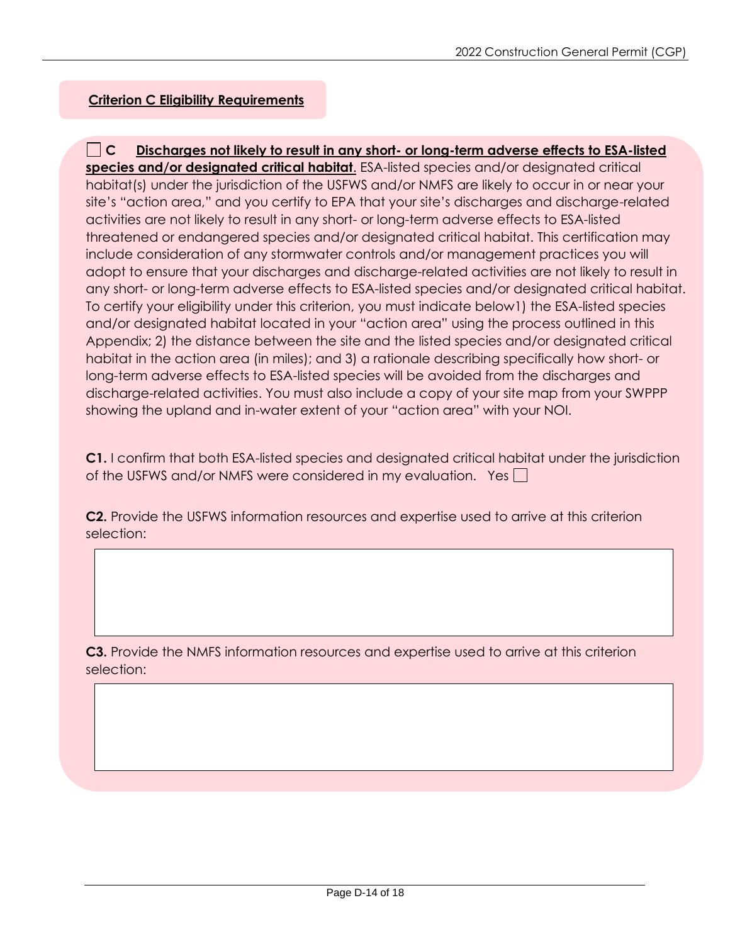### **Criterion C Eligibility Requirements**

**C Discharges not likely to result in any short- or long-term adverse effects to ESA-listed species and/or designated critical habitat**. ESA-listed species and/or designated critical habitat(s) under the jurisdiction of the USFWS and/or NMFS are likely to occur in or near your site's "action area," and you certify to EPA that your site's discharges and discharge-related activities are not likely to result in any short- or long-term adverse effects to ESA-listed threatened or endangered species and/or designated critical habitat. This certification may include consideration of any stormwater controls and/or management practices you will adopt to ensure that your discharges and discharge-related activities are not likely to result in any short- or long-term adverse effects to ESA-listed species and/or designated critical habitat. To certify your eligibility under this criterion, you must indicate below1) the ESA-listed species and/or designated habitat located in your "action area" using the process outlined in this Appendix; 2) the distance between the site and the listed species and/or designated critical habitat in the action area (in miles); and 3) a rationale describing specifically how short- or long-term adverse effects to ESA-listed species will be avoided from the discharges and discharge-related activities. You must also include a copy of your site map from your SWPPP showing the upland and in-water extent of your "action area" with your NOI.

**C1.** I confirm that both ESA-listed species and designated critical habitat under the jurisdiction of the USFWS and/or NMFS were considered in my evaluation. Yes  $\Box$ 

**C2.** Provide the USFWS information resources and expertise used to arrive at this criterion selection:

**C3.** Provide the NMFS information resources and expertise used to arrive at this criterion selection: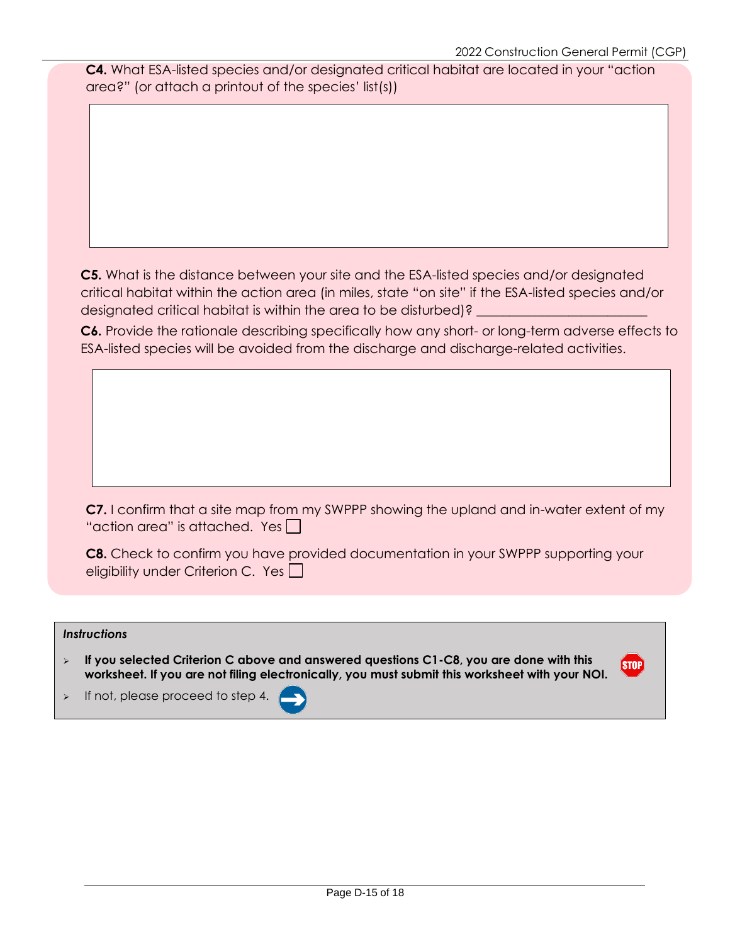**C4.** What ESA-listed species and/or designated critical habitat are located in your "action area?" (or attach a printout of the species' list(s))

**C5.** What is the distance between your site and the ESA-listed species and/or designated critical habitat within the action area (in miles, state "on site" if the ESA-listed species and/or designated critical habitat is within the area to be disturbed)?

**C6.** Provide the rationale describing specifically how any short- or long-term adverse effects to ESA-listed species will be avoided from the discharge and discharge-related activities.

**C7.** I confirm that a site map from my SWPPP showing the upland and in-water extent of my "action area" is attached. Yes  $\Box$ 

**C8.** Check to confirm you have provided documentation in your SWPPP supporting your eligibility under Criterion C. Yes

#### *Instructions*

➢ **If you selected Criterion C above and answered questions C1-C8, you are done with this worksheet. If you are not filing electronically, you must submit this worksheet with your NOI.**

**STOP** 

➢ If not, please proceed to step 4.

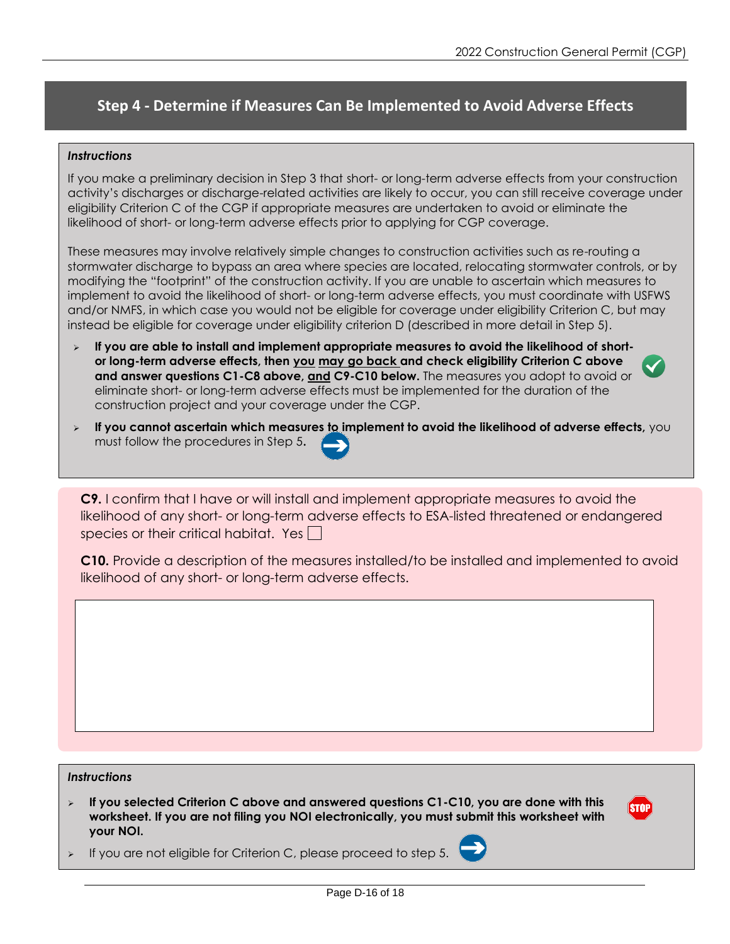# **Step 4 - Determine if Measures Can Be Implemented to Avoid Adverse Effects**

#### *Instructions*

If you make a preliminary decision in Step 3 that short- or long-term adverse effects from your construction activity's discharges or discharge-related activities are likely to occur, you can still receive coverage under eligibility Criterion C of the CGP if appropriate measures are undertaken to avoid or eliminate the likelihood of short- or long-term adverse effects prior to applying for CGP coverage.

These measures may involve relatively simple changes to construction activities such as re-routing a stormwater discharge to bypass an area where species are located, relocating stormwater controls, or by modifying the "footprint" of the construction activity. If you are unable to ascertain which measures to implement to avoid the likelihood of short- or long-term adverse effects, you must coordinate with USFWS and/or NMFS, in which case you would not be eligible for coverage under eligibility Criterion C, but may instead be eligible for coverage under eligibility criterion D (described in more detail in Step 5).

- ➢ **If you are able to install and implement appropriate measures to avoid the likelihood of shortor long-term adverse effects, then you may go back and check eligibility Criterion C above and answer questions C1-C8 above, and C9-C10 below.** The measures you adopt to avoid or eliminate short- or long-term adverse effects must be implemented for the duration of the construction project and your coverage under the CGP.
- ➢ **If you cannot ascertain which measures to implement to avoid the likelihood of adverse effects,** you must follow the procedures in Step 5**.**

**C9.** I confirm that I have or will install and implement appropriate measures to avoid the likelihood of any short- or long-term adverse effects to ESA-listed threatened or endangered species or their critical habitat. Yes

**C10.** Provide a description of the measures installed/to be installed and implemented to avoid likelihood of any short- or long-term adverse effects.

#### *Instructions*

➢ **If you selected Criterion C above and answered questions C1-C10, you are done with this worksheet. If you are not filing you NOI electronically, you must submit this worksheet with your NOI.**



If you are not eligible for Criterion C, please proceed to step 5.

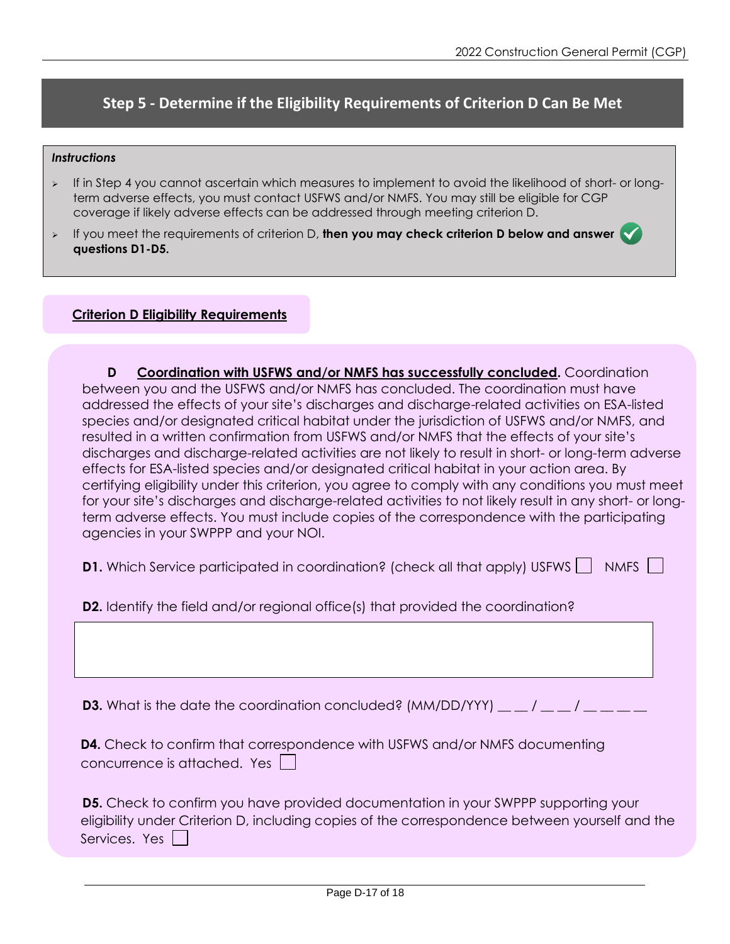# **Step 5 - Determine if the Eligibility Requirements of Criterion D Can Be Met**

#### *Instructions*

- ➢ If in Step 4 you cannot ascertain which measures to implement to avoid the likelihood of short- or longterm adverse effects, you must contact USFWS and/or NMFS. You may still be eligible for CGP coverage if likely adverse effects can be addressed through meeting criterion D.
- ➢ If you meet the requirements of criterion D, **then you may check criterion D below and answer questions D1-D5.**

#### **Criterion D Eligibility Requirements**

**D Coordination with USFWS and/or NMFS has successfully concluded.** Coordination between you and the USFWS and/or NMFS has concluded. The coordination must have addressed the effects of your site's discharges and discharge-related activities on ESA-listed species and/or designated critical habitat under the jurisdiction of USFWS and/or NMFS, and resulted in a written confirmation from USFWS and/or NMFS that the effects of your site's discharges and discharge-related activities are not likely to result in short- or long-term adverse effects for ESA-listed species and/or designated critical habitat in your action area. By certifying eligibility under this criterion, you agree to comply with any conditions you must meet for your site's discharges and discharge-related activities to not likely result in any short- or longterm adverse effects. You must include copies of the correspondence with the participating agencies in your SWPPP and your NOI.

**D1.** Which Service participated in coordination? (check all that apply) USFWS  $\vert \vert$  NMFS  $\vert \vert$ 

**D2.** Identify the field and/or regional office(s) that provided the coordination?

**D3.** What is the date the coordination concluded? (MM/DD/YYY)  $\_\_$  /  $\_\_$  /  $\_\_$  /  $\_\_$   $\_\_$ 

|                              | <b>D4.</b> Check to confirm that correspondence with USFWS and/or NMFS documenting |
|------------------------------|------------------------------------------------------------------------------------|
| concurrence is attached. Yes |                                                                                    |

| <b>D5.</b> Check to confirm you have provided documentation in your SWPPP supporting your      |
|------------------------------------------------------------------------------------------------|
| eligibility under Criterion D, including copies of the correspondence between yourself and the |
| Services. Yes $\Box$                                                                           |